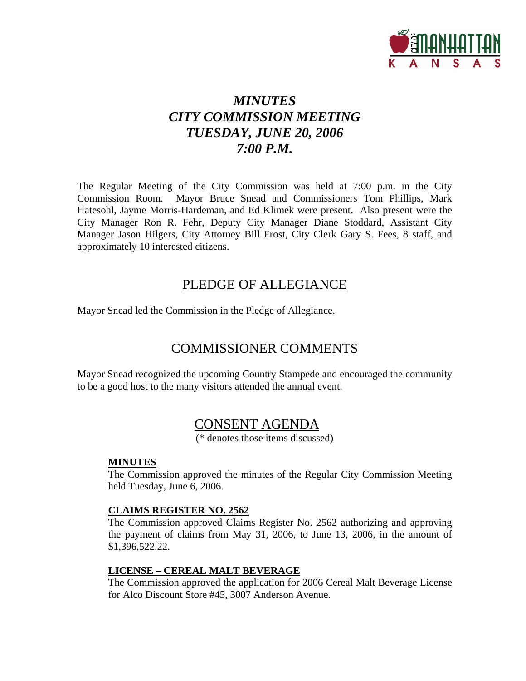

# *MINUTES CITY COMMISSION MEETING TUESDAY, JUNE 20, 2006 7:00 P.M.*

The Regular Meeting of the City Commission was held at 7:00 p.m. in the City Commission Room. Mayor Bruce Snead and Commissioners Tom Phillips, Mark Hatesohl, Jayme Morris-Hardeman, and Ed Klimek were present. Also present were the City Manager Ron R. Fehr, Deputy City Manager Diane Stoddard, Assistant City Manager Jason Hilgers, City Attorney Bill Frost, City Clerk Gary S. Fees, 8 staff, and approximately 10 interested citizens.

## PLEDGE OF ALLEGIANCE

Mayor Snead led the Commission in the Pledge of Allegiance.

# COMMISSIONER COMMENTS

Mayor Snead recognized the upcoming Country Stampede and encouraged the community to be a good host to the many visitors attended the annual event.

# CONSENT AGENDA

(\* denotes those items discussed)

#### **MINUTES**

The Commission approved the minutes of the Regular City Commission Meeting held Tuesday, June 6, 2006.

### **CLAIMS REGISTER NO. 2562**

The Commission approved Claims Register No. 2562 authorizing and approving the payment of claims from May 31, 2006, to June 13, 2006, in the amount of \$1,396,522.22.

### **LICENSE – CEREAL MALT BEVERAGE**

The Commission approved the application for 2006 Cereal Malt Beverage License for Alco Discount Store #45, 3007 Anderson Avenue.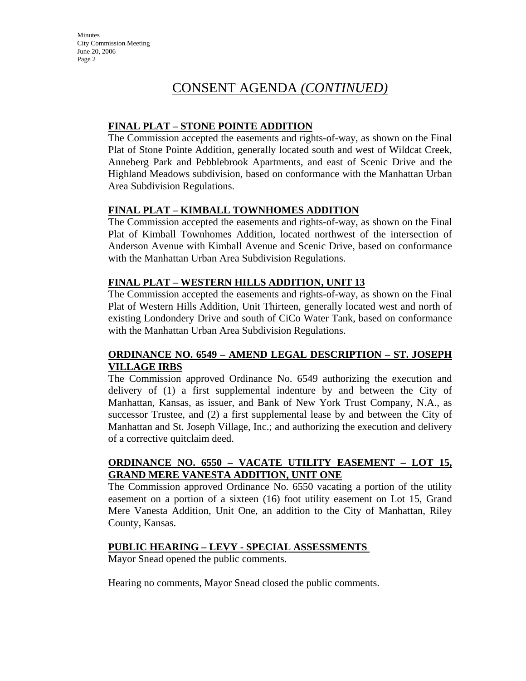## CONSENT AGENDA *(CONTINUED)*

### **FINAL PLAT – STONE POINTE ADDITION**

The Commission accepted the easements and rights-of-way, as shown on the Final Plat of Stone Pointe Addition, generally located south and west of Wildcat Creek, Anneberg Park and Pebblebrook Apartments, and east of Scenic Drive and the Highland Meadows subdivision, based on conformance with the Manhattan Urban Area Subdivision Regulations.

### **FINAL PLAT – KIMBALL TOWNHOMES ADDITION**

The Commission accepted the easements and rights-of-way, as shown on the Final Plat of Kimball Townhomes Addition, located northwest of the intersection of Anderson Avenue with Kimball Avenue and Scenic Drive, based on conformance with the Manhattan Urban Area Subdivision Regulations.

### **FINAL PLAT – WESTERN HILLS ADDITION, UNIT 13**

The Commission accepted the easements and rights-of-way, as shown on the Final Plat of Western Hills Addition, Unit Thirteen, generally located west and north of existing Londondery Drive and south of CiCo Water Tank, based on conformance with the Manhattan Urban Area Subdivision Regulations.

#### **ORDINANCE NO. 6549 – AMEND LEGAL DESCRIPTION – ST. JOSEPH VILLAGE IRBS**

The Commission approved Ordinance No. 6549 authorizing the execution and delivery of (1) a first supplemental indenture by and between the City of Manhattan, Kansas, as issuer, and Bank of New York Trust Company, N.A., as successor Trustee, and (2) a first supplemental lease by and between the City of Manhattan and St. Joseph Village, Inc.; and authorizing the execution and delivery of a corrective quitclaim deed.

### **ORDINANCE NO. 6550 – VACATE UTILITY EASEMENT – LOT 15, GRAND MERE VANESTA ADDITION, UNIT ONE**

The Commission approved Ordinance No. 6550 vacating a portion of the utility easement on a portion of a sixteen (16) foot utility easement on Lot 15, Grand Mere Vanesta Addition, Unit One, an addition to the City of Manhattan, Riley County, Kansas.

#### **PUBLIC HEARING – LEVY - SPECIAL ASSESSMENTS**

Mayor Snead opened the public comments.

Hearing no comments, Mayor Snead closed the public comments.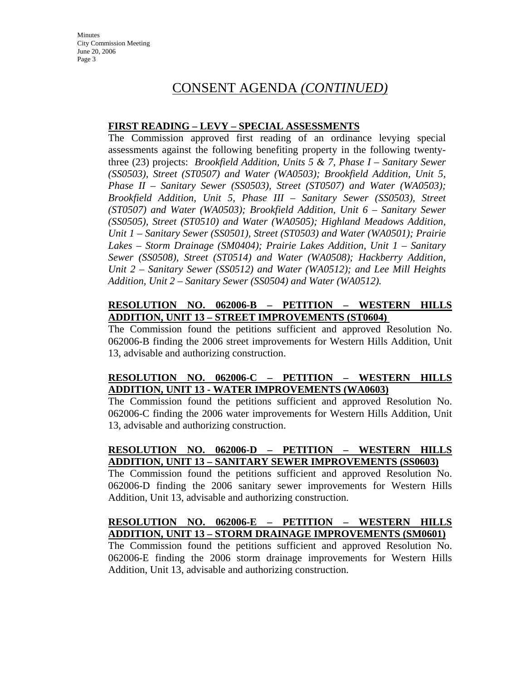## CONSENT AGENDA *(CONTINUED)*

#### **FIRST READING – LEVY – SPECIAL ASSESSMENTS**

The Commission approved first reading of an ordinance levying special assessments against the following benefiting property in the following twentythree (23) projects: *Brookfield Addition, Units 5 & 7, Phase I – Sanitary Sewer (SS0503), Street (ST0507) and Water (WA0503); Brookfield Addition, Unit 5, Phase II – Sanitary Sewer (SS0503), Street (ST0507) and Water (WA0503); Brookfield Addition, Unit 5, Phase III – Sanitary Sewer (SS0503), Street (ST0507) and Water (WA0503); Brookfield Addition, Unit 6 – Sanitary Sewer (SS0505), Street (ST0510) and Water (WA0505); Highland Meadows Addition, Unit 1 – Sanitary Sewer (SS0501), Street (ST0503) and Water (WA0501); Prairie Lakes – Storm Drainage (SM0404); Prairie Lakes Addition, Unit 1 – Sanitary Sewer (SS0508), Street (ST0514) and Water (WA0508); Hackberry Addition, Unit 2 – Sanitary Sewer (SS0512) and Water (WA0512); and Lee Mill Heights Addition, Unit 2 – Sanitary Sewer (SS0504) and Water (WA0512).* 

#### **RESOLUTION NO. 062006-B – PETITION – WESTERN HILLS ADDITION, UNIT 13 – STREET IMPROVEMENTS (ST0604)**

The Commission found the petitions sufficient and approved Resolution No. 062006-B finding the 2006 street improvements for Western Hills Addition, Unit 13, advisable and authorizing construction.

### **RESOLUTION NO. 062006-C – PETITION – WESTERN HILLS ADDITION, UNIT 13 - WATER IMPROVEMENTS (WA0603)**

The Commission found the petitions sufficient and approved Resolution No. 062006-C finding the 2006 water improvements for Western Hills Addition, Unit 13, advisable and authorizing construction.

### **RESOLUTION NO. 062006-D – PETITION – WESTERN HILLS ADDITION, UNIT 13 – SANITARY SEWER IMPROVEMENTS (SS0603)**

The Commission found the petitions sufficient and approved Resolution No. 062006-D finding the 2006 sanitary sewer improvements for Western Hills Addition, Unit 13, advisable and authorizing construction.

### **RESOLUTION NO. 062006-E – PETITION – WESTERN HILLS ADDITION, UNIT 13 – STORM DRAINAGE IMPROVEMENTS (SM0601)**

The Commission found the petitions sufficient and approved Resolution No. 062006-E finding the 2006 storm drainage improvements for Western Hills Addition, Unit 13, advisable and authorizing construction.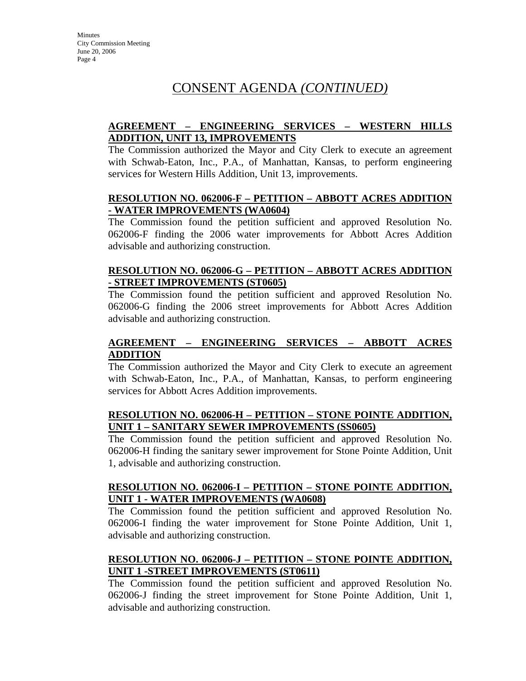# CONSENT AGENDA *(CONTINUED)*

## **AGREEMENT – ENGINEERING SERVICES – WESTERN HILLS ADDITION, UNIT 13, IMPROVEMENTS**

The Commission authorized the Mayor and City Clerk to execute an agreement with Schwab-Eaton, Inc., P.A., of Manhattan, Kansas, to perform engineering services for Western Hills Addition, Unit 13, improvements.

#### **RESOLUTION NO. 062006-F – PETITION – ABBOTT ACRES ADDITION - WATER IMPROVEMENTS (WA0604)**

The Commission found the petition sufficient and approved Resolution No. 062006-F finding the 2006 water improvements for Abbott Acres Addition advisable and authorizing construction.

#### **RESOLUTION NO. 062006-G – PETITION – ABBOTT ACRES ADDITION - STREET IMPROVEMENTS (ST0605)**

The Commission found the petition sufficient and approved Resolution No. 062006-G finding the 2006 street improvements for Abbott Acres Addition advisable and authorizing construction.

### **AGREEMENT – ENGINEERING SERVICES – ABBOTT ACRES ADDITION**

The Commission authorized the Mayor and City Clerk to execute an agreement with Schwab-Eaton, Inc., P.A., of Manhattan, Kansas, to perform engineering services for Abbott Acres Addition improvements.

#### **RESOLUTION NO. 062006-H – PETITION – STONE POINTE ADDITION, UNIT 1 – SANITARY SEWER IMPROVEMENTS (SS0605)**

The Commission found the petition sufficient and approved Resolution No. 062006-H finding the sanitary sewer improvement for Stone Pointe Addition, Unit 1, advisable and authorizing construction.

#### **RESOLUTION NO. 062006-I – PETITION – STONE POINTE ADDITION, UNIT 1 - WATER IMPROVEMENTS (WA0608)**

The Commission found the petition sufficient and approved Resolution No. 062006-I finding the water improvement for Stone Pointe Addition, Unit 1, advisable and authorizing construction.

## **RESOLUTION NO. 062006-J – PETITION – STONE POINTE ADDITION, UNIT 1 -STREET IMPROVEMENTS (ST0611)**

The Commission found the petition sufficient and approved Resolution No. 062006-J finding the street improvement for Stone Pointe Addition, Unit 1, advisable and authorizing construction.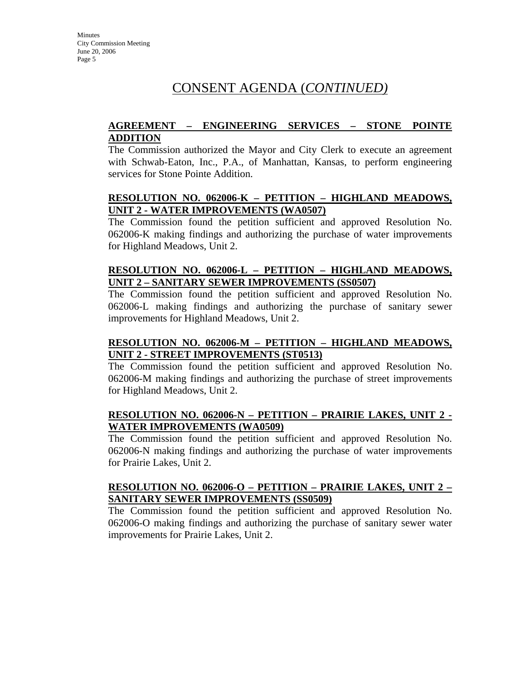## CONSENT AGENDA (*CONTINUED)*

### **AGREEMENT – ENGINEERING SERVICES – STONE POINTE ADDITION**

The Commission authorized the Mayor and City Clerk to execute an agreement with Schwab-Eaton, Inc., P.A., of Manhattan, Kansas, to perform engineering services for Stone Pointe Addition.

#### **RESOLUTION NO. 062006-K – PETITION – HIGHLAND MEADOWS, UNIT 2 - WATER IMPROVEMENTS (WA0507)**

The Commission found the petition sufficient and approved Resolution No. 062006-K making findings and authorizing the purchase of water improvements for Highland Meadows, Unit 2.

### **RESOLUTION NO. 062006-L – PETITION – HIGHLAND MEADOWS, UNIT 2 – SANITARY SEWER IMPROVEMENTS (SS0507)**

The Commission found the petition sufficient and approved Resolution No. 062006-L making findings and authorizing the purchase of sanitary sewer improvements for Highland Meadows, Unit 2.

### **RESOLUTION NO. 062006-M – PETITION – HIGHLAND MEADOWS, UNIT 2 - STREET IMPROVEMENTS (ST0513)**

The Commission found the petition sufficient and approved Resolution No. 062006-M making findings and authorizing the purchase of street improvements for Highland Meadows, Unit 2.

### **RESOLUTION NO. 062006-N – PETITION – PRAIRIE LAKES, UNIT 2 - WATER IMPROVEMENTS (WA0509)**

The Commission found the petition sufficient and approved Resolution No. 062006-N making findings and authorizing the purchase of water improvements for Prairie Lakes, Unit 2.

#### **RESOLUTION NO. 062006-O – PETITION – PRAIRIE LAKES, UNIT 2 – SANITARY SEWER IMPROVEMENTS (SS0509)**

The Commission found the petition sufficient and approved Resolution No. 062006-O making findings and authorizing the purchase of sanitary sewer water improvements for Prairie Lakes, Unit 2.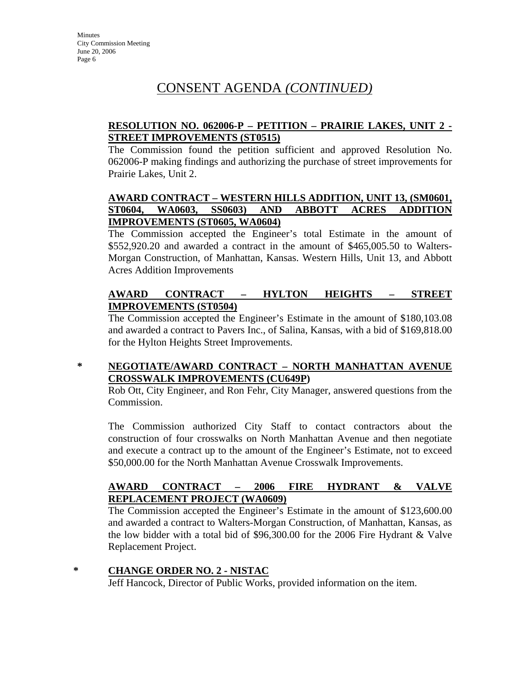# CONSENT AGENDA *(CONTINUED)*

## **RESOLUTION NO. 062006-P – PETITION – PRAIRIE LAKES, UNIT 2 - STREET IMPROVEMENTS (ST0515)**

The Commission found the petition sufficient and approved Resolution No. 062006-P making findings and authorizing the purchase of street improvements for Prairie Lakes, Unit 2.

## **AWARD CONTRACT – WESTERN HILLS ADDITION, UNIT 13, (SM0601, ST0604, WA0603, SS0603) AND ABBOTT ACRES ADDITION IMPROVEMENTS (ST0605, WA0604)**

The Commission accepted the Engineer's total Estimate in the amount of \$552,920.20 and awarded a contract in the amount of \$465,005.50 to Walters-Morgan Construction, of Manhattan, Kansas. Western Hills, Unit 13, and Abbott Acres Addition Improvements

## **AWARD CONTRACT – HYLTON HEIGHTS – STREET IMPROVEMENTS (ST0504)**

The Commission accepted the Engineer's Estimate in the amount of \$180,103.08 and awarded a contract to Pavers Inc., of Salina, Kansas, with a bid of \$169,818.00 for the Hylton Heights Street Improvements.

## **\* NEGOTIATE/AWARD CONTRACT – NORTH MANHATTAN AVENUE CROSSWALK IMPROVEMENTS (CU649P)**

Rob Ott, City Engineer, and Ron Fehr, City Manager, answered questions from the Commission.

The Commission authorized City Staff to contact contractors about the construction of four crosswalks on North Manhattan Avenue and then negotiate and execute a contract up to the amount of the Engineer's Estimate, not to exceed \$50,000.00 for the North Manhattan Avenue Crosswalk Improvements.

### **AWARD CONTRACT – 2006 FIRE HYDRANT & VALVE REPLACEMENT PROJECT (WA0609)**

The Commission accepted the Engineer's Estimate in the amount of \$123,600.00 and awarded a contract to Walters-Morgan Construction, of Manhattan, Kansas, as the low bidder with a total bid of \$96,300.00 for the 2006 Fire Hydrant & Valve Replacement Project.

### **\* CHANGE ORDER NO. 2 - NISTAC**

Jeff Hancock, Director of Public Works, provided information on the item.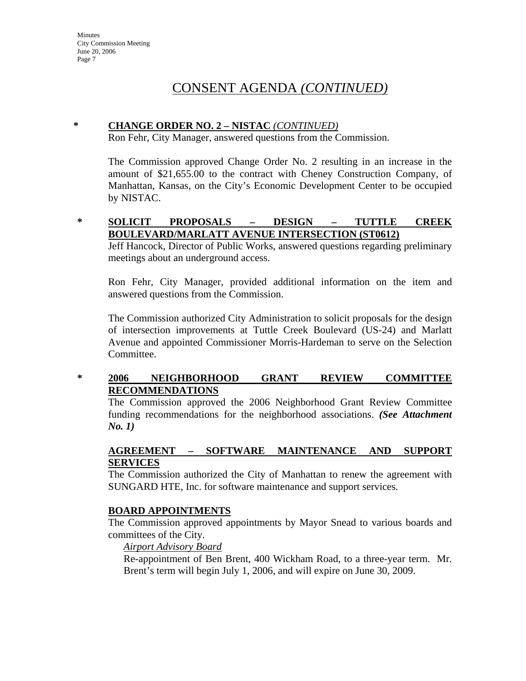## CONSENT AGENDA *(CONTINUED)*

## **\* CHANGE ORDER NO. 2 – NISTAC** *(CONTINUED)*

Ron Fehr, City Manager, answered questions from the Commission.

The Commission approved Change Order No. 2 resulting in an increase in the amount of \$21,655.00 to the contract with Cheney Construction Company, of Manhattan, Kansas, on the City's Economic Development Center to be occupied by NISTAC.

#### **\* SOLICIT PROPOSALS – DESIGN – TUTTLE CREEK BOULEVARD/MARLATT AVENUE INTERSECTION (ST0612)**

Jeff Hancock, Director of Public Works, answered questions regarding preliminary meetings about an underground access.

Ron Fehr, City Manager, provided additional information on the item and answered questions from the Commission.

The Commission authorized City Administration to solicit proposals for the design of intersection improvements at Tuttle Creek Boulevard (US-24) and Marlatt Avenue and appointed Commissioner Morris-Hardeman to serve on the Selection Committee.

### **\* 2006 NEIGHBORHOOD GRANT REVIEW COMMITTEE RECOMMENDATIONS**

The Commission approved the 2006 Neighborhood Grant Review Committee funding recommendations for the neighborhood associations. *(See Attachment No. 1)*

## **AGREEMENT – SOFTWARE MAINTENANCE AND SUPPORT SERVICES**

The Commission authorized the City of Manhattan to renew the agreement with SUNGARD HTE, Inc. for software maintenance and support services.

### **BOARD APPOINTMENTS**

The Commission approved appointments by Mayor Snead to various boards and committees of the City.

#### *Airport Advisory Board*

Re-appointment of Ben Brent, 400 Wickham Road, to a three-year term. Mr. Brent's term will begin July 1, 2006, and will expire on June 30, 2009.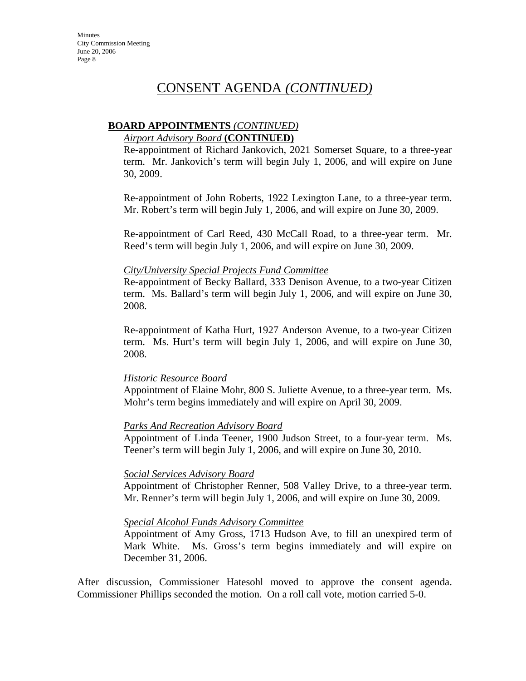## CONSENT AGENDA *(CONTINUED)*

### **BOARD APPOINTMENTS** *(CONTINUED)*

#### *Airport Advisory Board* **(CONTINUED)**

Re-appointment of Richard Jankovich, 2021 Somerset Square, to a three-year term. Mr. Jankovich's term will begin July 1, 2006, and will expire on June 30, 2009.

Re-appointment of John Roberts, 1922 Lexington Lane, to a three-year term. Mr. Robert's term will begin July 1, 2006, and will expire on June 30, 2009.

Re-appointment of Carl Reed, 430 McCall Road, to a three-year term. Mr. Reed's term will begin July 1, 2006, and will expire on June 30, 2009.

#### *City/University Special Projects Fund Committee*

Re-appointment of Becky Ballard, 333 Denison Avenue, to a two-year Citizen term. Ms. Ballard's term will begin July 1, 2006, and will expire on June 30, 2008.

Re-appointment of Katha Hurt, 1927 Anderson Avenue, to a two-year Citizen term. Ms. Hurt's term will begin July 1, 2006, and will expire on June 30, 2008.

### *Historic Resource Board*

Appointment of Elaine Mohr, 800 S. Juliette Avenue, to a three-year term. Ms. Mohr's term begins immediately and will expire on April 30, 2009.

### *Parks And Recreation Advisory Board*

Appointment of Linda Teener, 1900 Judson Street, to a four-year term. Ms. Teener's term will begin July 1, 2006, and will expire on June 30, 2010.

#### *Social Services Advisory Board*

Appointment of Christopher Renner, 508 Valley Drive, to a three-year term. Mr. Renner's term will begin July 1, 2006, and will expire on June 30, 2009.

#### *Special Alcohol Funds Advisory Committee*

Appointment of Amy Gross, 1713 Hudson Ave, to fill an unexpired term of Mark White. Ms. Gross's term begins immediately and will expire on December 31, 2006.

After discussion, Commissioner Hatesohl moved to approve the consent agenda. Commissioner Phillips seconded the motion. On a roll call vote, motion carried 5-0.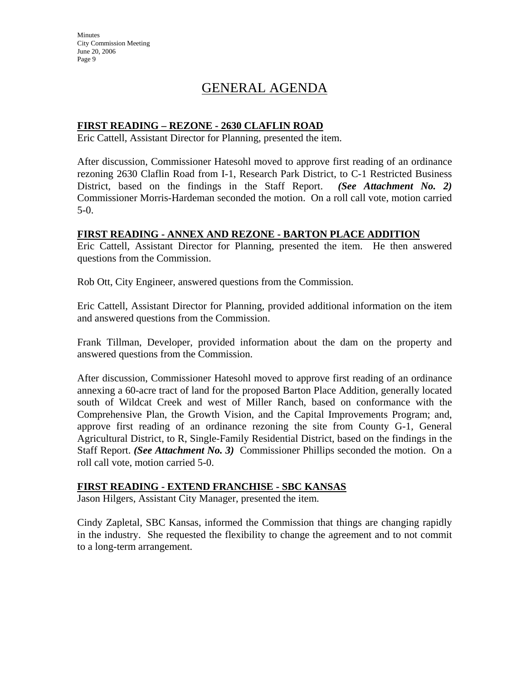# GENERAL AGENDA

### **FIRST READING – REZONE - 2630 CLAFLIN ROAD**

Eric Cattell, Assistant Director for Planning, presented the item.

After discussion, Commissioner Hatesohl moved to approve first reading of an ordinance rezoning 2630 Claflin Road from I-1, Research Park District, to C-1 Restricted Business District, based on the findings in the Staff Report. *(See Attachment No. 2)*  Commissioner Morris-Hardeman seconded the motion. On a roll call vote, motion carried 5-0.

#### **FIRST READING - ANNEX AND REZONE - BARTON PLACE ADDITION**

Eric Cattell, Assistant Director for Planning, presented the item. He then answered questions from the Commission.

Rob Ott, City Engineer, answered questions from the Commission.

Eric Cattell, Assistant Director for Planning, provided additional information on the item and answered questions from the Commission.

Frank Tillman, Developer, provided information about the dam on the property and answered questions from the Commission.

After discussion, Commissioner Hatesohl moved to approve first reading of an ordinance annexing a 60-acre tract of land for the proposed Barton Place Addition, generally located south of Wildcat Creek and west of Miller Ranch, based on conformance with the Comprehensive Plan, the Growth Vision, and the Capital Improvements Program; and, approve first reading of an ordinance rezoning the site from County G-1, General Agricultural District, to R, Single-Family Residential District, based on the findings in the Staff Report. *(See Attachment No. 3)* Commissioner Phillips seconded the motion. On a roll call vote, motion carried 5-0.

#### **FIRST READING - EXTEND FRANCHISE - SBC KANSAS**

Jason Hilgers, Assistant City Manager, presented the item.

Cindy Zapletal, SBC Kansas, informed the Commission that things are changing rapidly in the industry. She requested the flexibility to change the agreement and to not commit to a long-term arrangement.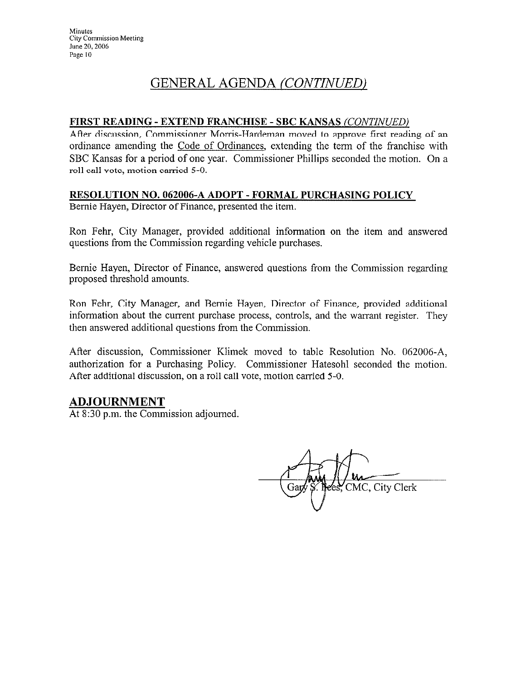# GENERAL AGENDA (CONTINUED)

### FIRST READING - EXTEND FRANCHISE - SBC KANSAS (CONTINUED)

After discussion, Commissioner Morris-Hardeman moved to approve first reading of an ordinance amending the Code of Ordinances, extending the term of the franchise with SBC Kansas for a period of one year. Commissioner Phillips seconded the motion. On a roll call vote, motion carried 5-0.

## RESOLUTION NO. 062006-A ADOPT - FORMAL PURCHASING POLICY

Bernie Hayen, Director of Finance, presented the item.

Ron Fehr, City Manager, provided additional information on the item and answered questions from the Commission regarding vehicle purchases.

Bernie Hayen, Director of Finance, answered questions from the Commission regarding proposed threshold amounts.

Ron Fehr, City Manager, and Bernie Hayen, Director of Finance, provided additional information about the current purchase process, controls, and the warrant register. They then answered additional questions from the Commission.

After discussion, Commissioner Klimek moved to table Resolution No. 062006-A, authorization for a Purchasing Policy. Commissioner Hatesohl seconded the motion. After additional discussion, on a roll call vote, motion carried 5-0.

## **ADJOURNMENT**

At 8:30 p.m. the Commission adjourned.

CMC, City Clerk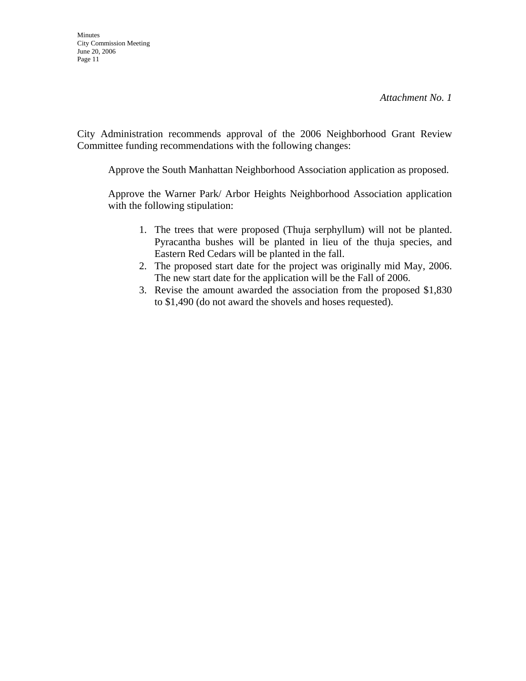City Administration recommends approval of the 2006 Neighborhood Grant Review Committee funding recommendations with the following changes:

Approve the South Manhattan Neighborhood Association application as proposed.

 Approve the Warner Park/ Arbor Heights Neighborhood Association application with the following stipulation:

- 1. The trees that were proposed (Thuja serphyllum) will not be planted. Pyracantha bushes will be planted in lieu of the thuja species, and Eastern Red Cedars will be planted in the fall.
- 2. The proposed start date for the project was originally mid May, 2006. The new start date for the application will be the Fall of 2006.
- 3. Revise the amount awarded the association from the proposed \$1,830 to \$1,490 (do not award the shovels and hoses requested).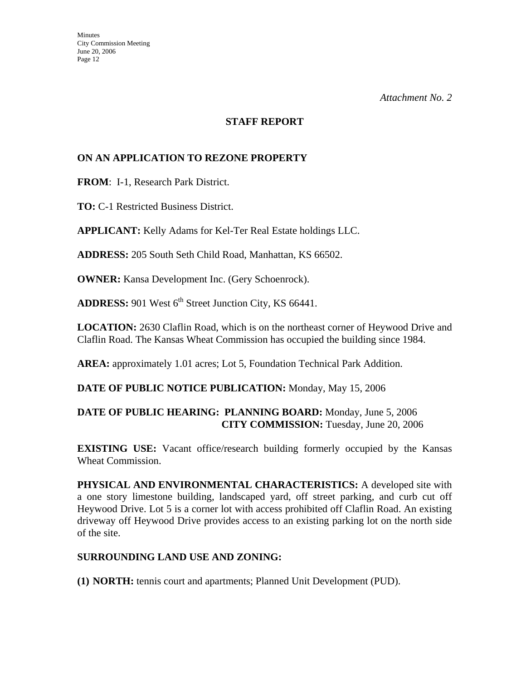#### **STAFF REPORT**

### **ON AN APPLICATION TO REZONE PROPERTY**

**FROM**: I-1, Research Park District.

**TO:** C-1 Restricted Business District.

**APPLICANT:** Kelly Adams for Kel-Ter Real Estate holdings LLC.

**ADDRESS:** 205 South Seth Child Road, Manhattan, KS 66502.

**OWNER:** Kansa Development Inc. (Gery Schoenrock).

**ADDRESS:** 901 West 6<sup>th</sup> Street Junction City, KS 66441.

**LOCATION:** 2630 Claflin Road, which is on the northeast corner of Heywood Drive and Claflin Road. The Kansas Wheat Commission has occupied the building since 1984.

**AREA:** approximately 1.01 acres; Lot 5, Foundation Technical Park Addition.

### **DATE OF PUBLIC NOTICE PUBLICATION:** Monday, May 15, 2006

## **DATE OF PUBLIC HEARING: PLANNING BOARD:** Monday, June 5, 2006 **CITY COMMISSION:** Tuesday, June 20, 2006

**EXISTING USE:** Vacant office/research building formerly occupied by the Kansas Wheat Commission.

**PHYSICAL AND ENVIRONMENTAL CHARACTERISTICS:** A developed site with a one story limestone building, landscaped yard, off street parking, and curb cut off Heywood Drive. Lot 5 is a corner lot with access prohibited off Claflin Road. An existing driveway off Heywood Drive provides access to an existing parking lot on the north side of the site.

### **SURROUNDING LAND USE AND ZONING:**

**(1) NORTH:** tennis court and apartments; Planned Unit Development (PUD).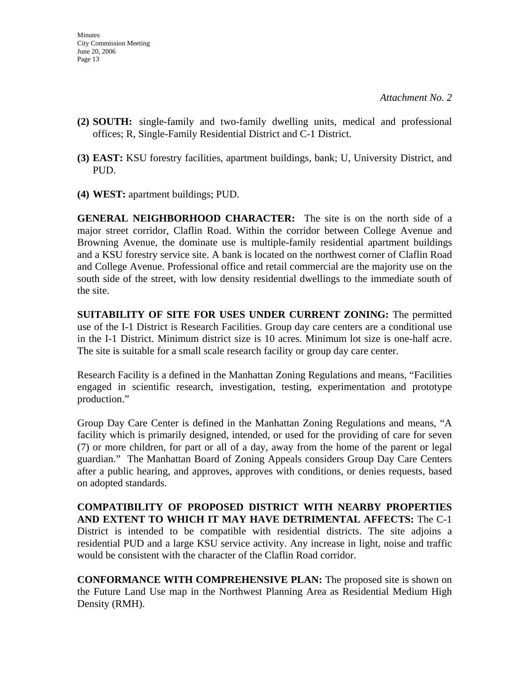- **(2) SOUTH:** single-family and two-family dwelling units, medical and professional offices; R, Single-Family Residential District and C-1 District.
- **(3) EAST:** KSU forestry facilities, apartment buildings, bank; U, University District, and PUD.
- **(4) WEST:** apartment buildings; PUD.

**GENERAL NEIGHBORHOOD CHARACTER:** The site is on the north side of a major street corridor, Claflin Road. Within the corridor between College Avenue and Browning Avenue, the dominate use is multiple-family residential apartment buildings and a KSU forestry service site. A bank is located on the northwest corner of Claflin Road and College Avenue. Professional office and retail commercial are the majority use on the south side of the street, with low density residential dwellings to the immediate south of the site.

**SUITABILITY OF SITE FOR USES UNDER CURRENT ZONING:** The permitted use of the I-1 District is Research Facilities. Group day care centers are a conditional use in the I-1 District. Minimum district size is 10 acres. Minimum lot size is one-half acre. The site is suitable for a small scale research facility or group day care center.

Research Facility is a defined in the Manhattan Zoning Regulations and means, "Facilities engaged in scientific research, investigation, testing, experimentation and prototype production."

Group Day Care Center is defined in the Manhattan Zoning Regulations and means, "A facility which is primarily designed, intended, or used for the providing of care for seven (7) or more children, for part or all of a day, away from the home of the parent or legal guardian." The Manhattan Board of Zoning Appeals considers Group Day Care Centers after a public hearing, and approves, approves with conditions, or denies requests, based on adopted standards.

**COMPATIBILITY OF PROPOSED DISTRICT WITH NEARBY PROPERTIES AND EXTENT TO WHICH IT MAY HAVE DETRIMENTAL AFFECTS:** The C-1 District is intended to be compatible with residential districts. The site adjoins a residential PUD and a large KSU service activity. Any increase in light, noise and traffic would be consistent with the character of the Claflin Road corridor.

**CONFORMANCE WITH COMPREHENSIVE PLAN:** The proposed site is shown on the Future Land Use map in the Northwest Planning Area as Residential Medium High Density (RMH).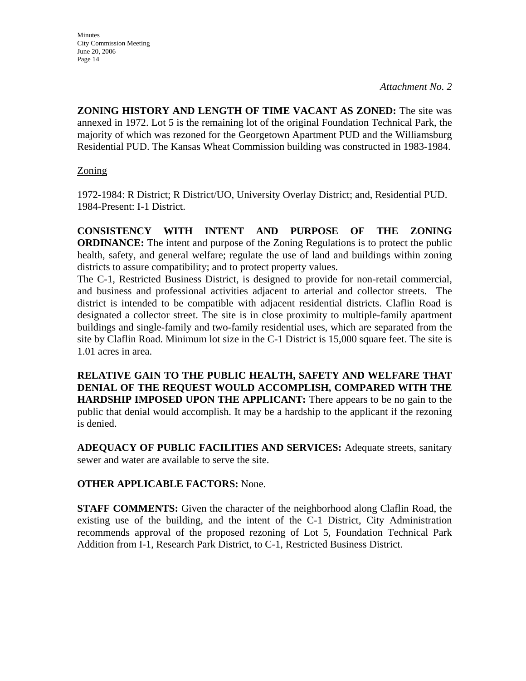**ZONING HISTORY AND LENGTH OF TIME VACANT AS ZONED:** The site was annexed in 1972. Lot 5 is the remaining lot of the original Foundation Technical Park, the majority of which was rezoned for the Georgetown Apartment PUD and the Williamsburg Residential PUD. The Kansas Wheat Commission building was constructed in 1983-1984.

## Zoning

1972-1984: R District; R District/UO, University Overlay District; and, Residential PUD. 1984-Present: I-1 District.

**CONSISTENCY WITH INTENT AND PURPOSE OF THE ZONING ORDINANCE:** The intent and purpose of the Zoning Regulations is to protect the public health, safety, and general welfare; regulate the use of land and buildings within zoning districts to assure compatibility; and to protect property values.

The C-1, Restricted Business District, is designed to provide for non-retail commercial, and business and professional activities adjacent to arterial and collector streets. The district is intended to be compatible with adjacent residential districts. Claflin Road is designated a collector street. The site is in close proximity to multiple-family apartment buildings and single-family and two-family residential uses, which are separated from the site by Claflin Road. Minimum lot size in the C-1 District is 15,000 square feet. The site is 1.01 acres in area.

**RELATIVE GAIN TO THE PUBLIC HEALTH, SAFETY AND WELFARE THAT DENIAL OF THE REQUEST WOULD ACCOMPLISH, COMPARED WITH THE HARDSHIP IMPOSED UPON THE APPLICANT:** There appears to be no gain to the public that denial would accomplish. It may be a hardship to the applicant if the rezoning is denied.

**ADEQUACY OF PUBLIC FACILITIES AND SERVICES:** Adequate streets, sanitary sewer and water are available to serve the site.

## **OTHER APPLICABLE FACTORS:** None.

**STAFF COMMENTS:** Given the character of the neighborhood along Claflin Road, the existing use of the building, and the intent of the C-1 District, City Administration recommends approval of the proposed rezoning of Lot 5, Foundation Technical Park Addition from I-1, Research Park District, to C-1, Restricted Business District.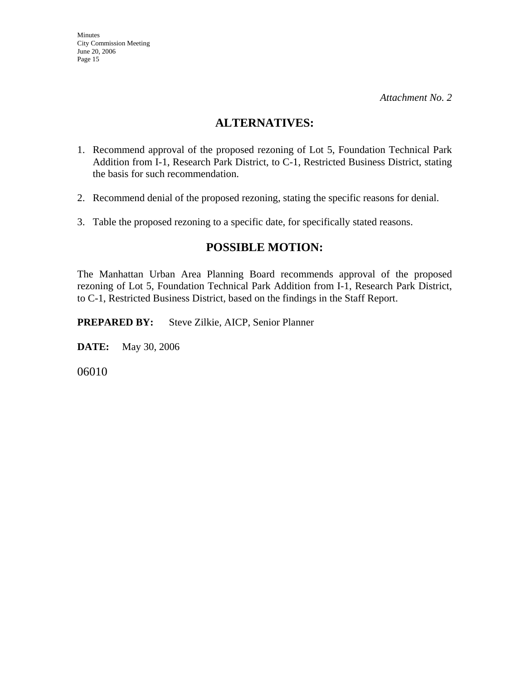## **ALTERNATIVES:**

- 1. Recommend approval of the proposed rezoning of Lot 5, Foundation Technical Park Addition from I-1, Research Park District, to C-1, Restricted Business District, stating the basis for such recommendation.
- 2. Recommend denial of the proposed rezoning, stating the specific reasons for denial.
- 3. Table the proposed rezoning to a specific date, for specifically stated reasons.

## **POSSIBLE MOTION:**

The Manhattan Urban Area Planning Board recommends approval of the proposed rezoning of Lot 5, Foundation Technical Park Addition from I-1, Research Park District, to C-1, Restricted Business District, based on the findings in the Staff Report.

**PREPARED BY:** Steve Zilkie, AICP, Senior Planner

**DATE:** May 30, 2006

06010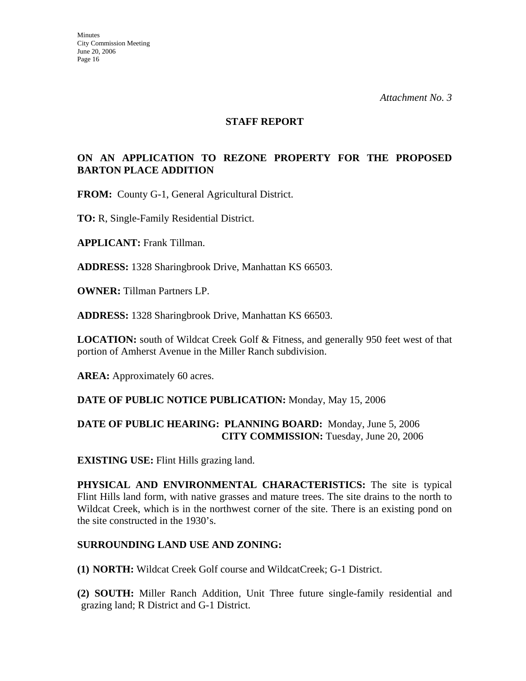#### **STAFF REPORT**

### **ON AN APPLICATION TO REZONE PROPERTY FOR THE PROPOSED BARTON PLACE ADDITION**

**FROM:** County G-1, General Agricultural District.

**TO:** R, Single-Family Residential District.

**APPLICANT:** Frank Tillman.

**ADDRESS:** 1328 Sharingbrook Drive, Manhattan KS 66503.

**OWNER:** Tillman Partners LP.

**ADDRESS:** 1328 Sharingbrook Drive, Manhattan KS 66503.

**LOCATION:** south of Wildcat Creek Golf & Fitness, and generally 950 feet west of that portion of Amherst Avenue in the Miller Ranch subdivision.

AREA: Approximately 60 acres.

#### **DATE OF PUBLIC NOTICE PUBLICATION:** Monday, May 15, 2006

#### **DATE OF PUBLIC HEARING: PLANNING BOARD:** Monday, June 5, 2006 **CITY COMMISSION:** Tuesday, June 20, 2006

**EXISTING USE:** Flint Hills grazing land.

**PHYSICAL AND ENVIRONMENTAL CHARACTERISTICS:** The site is typical Flint Hills land form, with native grasses and mature trees. The site drains to the north to Wildcat Creek, which is in the northwest corner of the site. There is an existing pond on the site constructed in the 1930's.

#### **SURROUNDING LAND USE AND ZONING:**

**(1) NORTH:** Wildcat Creek Golf course and WildcatCreek; G-1 District.

**(2) SOUTH:** Miller Ranch Addition, Unit Three future single-family residential and grazing land; R District and G-1 District.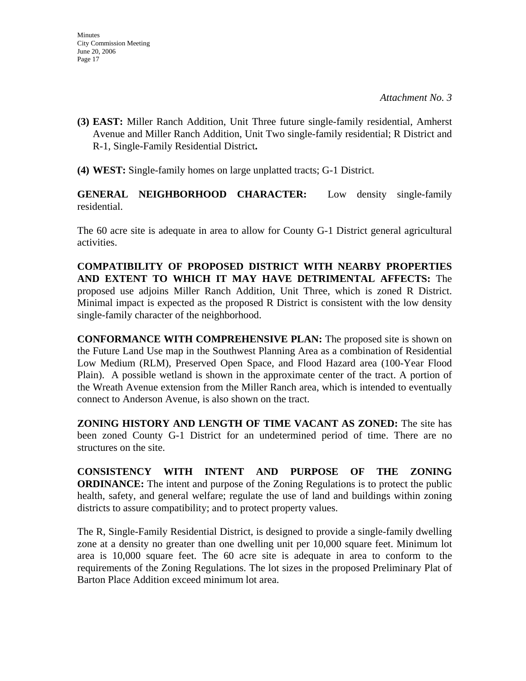- **(3) EAST:** Miller Ranch Addition, Unit Three future single-family residential, Amherst Avenue and Miller Ranch Addition, Unit Two single-family residential; R District and R-1, Single-Family Residential District**.**
- **(4) WEST:** Single-family homes on large unplatted tracts; G-1 District.

**GENERAL NEIGHBORHOOD CHARACTER:** Low density single-family residential.

The 60 acre site is adequate in area to allow for County G-1 District general agricultural activities.

**COMPATIBILITY OF PROPOSED DISTRICT WITH NEARBY PROPERTIES AND EXTENT TO WHICH IT MAY HAVE DETRIMENTAL AFFECTS:** The proposed use adjoins Miller Ranch Addition, Unit Three, which is zoned R District. Minimal impact is expected as the proposed R District is consistent with the low density single-family character of the neighborhood.

**CONFORMANCE WITH COMPREHENSIVE PLAN:** The proposed site is shown on the Future Land Use map in the Southwest Planning Area as a combination of Residential Low Medium (RLM), Preserved Open Space, and Flood Hazard area (100-Year Flood Plain). A possible wetland is shown in the approximate center of the tract. A portion of the Wreath Avenue extension from the Miller Ranch area, which is intended to eventually connect to Anderson Avenue, is also shown on the tract.

**ZONING HISTORY AND LENGTH OF TIME VACANT AS ZONED:** The site has been zoned County G-1 District for an undetermined period of time. There are no structures on the site.

**CONSISTENCY WITH INTENT AND PURPOSE OF THE ZONING ORDINANCE:** The intent and purpose of the Zoning Regulations is to protect the public health, safety, and general welfare; regulate the use of land and buildings within zoning districts to assure compatibility; and to protect property values.

The R, Single-Family Residential District, is designed to provide a single-family dwelling zone at a density no greater than one dwelling unit per 10,000 square feet. Minimum lot area is 10,000 square feet. The 60 acre site is adequate in area to conform to the requirements of the Zoning Regulations. The lot sizes in the proposed Preliminary Plat of Barton Place Addition exceed minimum lot area.